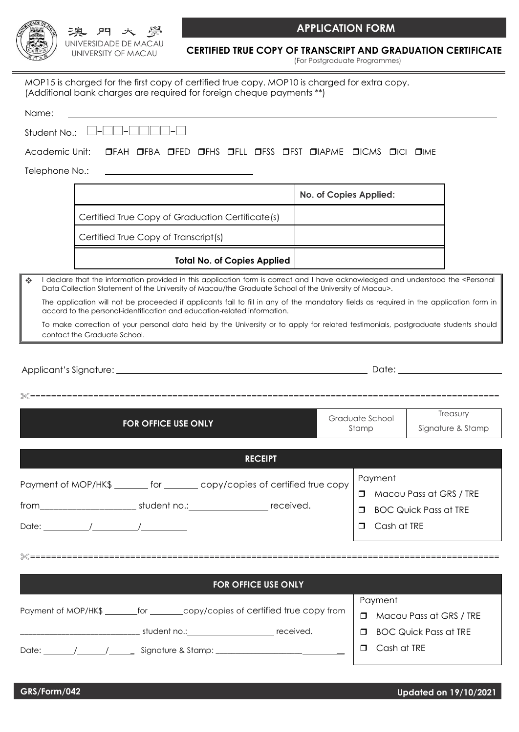

|                              |  | Data Collection Statement of the University of Macau/the Graduate School of the University of Macau>.                                                                                                              |       |                                    |                    |  |
|------------------------------|--|--------------------------------------------------------------------------------------------------------------------------------------------------------------------------------------------------------------------|-------|------------------------------------|--------------------|--|
|                              |  | The application will not be proceeded if applicants fail to fill in any of the mandatory fields as required in the application form in<br>accord to the personal-identification and education-related information. |       |                                    |                    |  |
| contact the Graduate School. |  | To make correction of your personal data held by the University or to apply for related testimonials, postgraduate students should                                                                                 |       |                                    |                    |  |
|                              |  |                                                                                                                                                                                                                    |       |                                    |                    |  |
|                              |  |                                                                                                                                                                                                                    |       |                                    | ================== |  |
|                              |  |                                                                                                                                                                                                                    |       | Graduate School                    | Treasury           |  |
| <b>FOR OFFICE USE ONLY</b>   |  |                                                                                                                                                                                                                    | Stamp |                                    | Signature & Stamp  |  |
|                              |  | <b>RECEIPT</b>                                                                                                                                                                                                     |       |                                    |                    |  |
|                              |  | Payment of MOP/HK\$ _______ for _______ copy/copies of certified true copy                                                                                                                                         |       | Payment                            |                    |  |
|                              |  |                                                                                                                                                                                                                    |       | Macau Pass at GRS / TRE<br>П.      |                    |  |
|                              |  |                                                                                                                                                                                                                    |       | <b>BOC Quick Pass at TRE</b><br>П. |                    |  |
|                              |  |                                                                                                                                                                                                                    |       | Cash at TRE<br>$\Box$              |                    |  |
|                              |  |                                                                                                                                                                                                                    |       |                                    |                    |  |
|                              |  | <b>FOR OFFICE USE ONLY</b>                                                                                                                                                                                         |       |                                    |                    |  |
|                              |  |                                                                                                                                                                                                                    |       |                                    |                    |  |

UNIVERSIDADE DE MACAU UNIVERSITY OF MACAU

澳 門 大

Academic Unit: FIFAH FIFBA FIFED FIFHS FIFLL FIFSS FIFST FIJIAPME FICMS FICI FIME

MOP15 is charged for the first copy of certified true copy. MOP10 is charged for extra copy.

(Additional bank charges are required for foreign cheque payments \*\*)

Telephone No.:

Name:

|                                                  | No. of Copies Applied: |
|--------------------------------------------------|------------------------|
| Certified True Copy of Graduation Certificate(s) |                        |
| Certified True Copy of Transcript(s)             |                        |
|                                                  |                        |

**Total No. of Copies Applied**

 I declare that the information provided in this application form is correct and I have acknowledged and understood the <Personal Data Collection Statement of the University of Macau/the Graduate School of the University of Macau>.

**CERTIFIED TRUE COPY OF TRANSCRIPT AND GRADUATION CERTIFICATE** (For Postgraduate Programmes)

Payment of MOP/HK\$ \_\_\_\_\_\_\_for \_\_\_\_\_\_copy/copies of certified true copy from

\_\_\_\_\_\_\_\_\_\_\_\_\_\_\_\_\_\_\_\_\_\_\_\_\_\_\_\_\_ student no.: received.

Date: / / \_ Signature & Stamp: \_\_\_\_\_\_\_\_\_\_\_\_\_\_\_\_\_\_\_\_\_\_ \_\_

Payment

- **D** Macau Pass at GRS / TRE
- BOC Quick Pass at TRE
- Cash at TRE